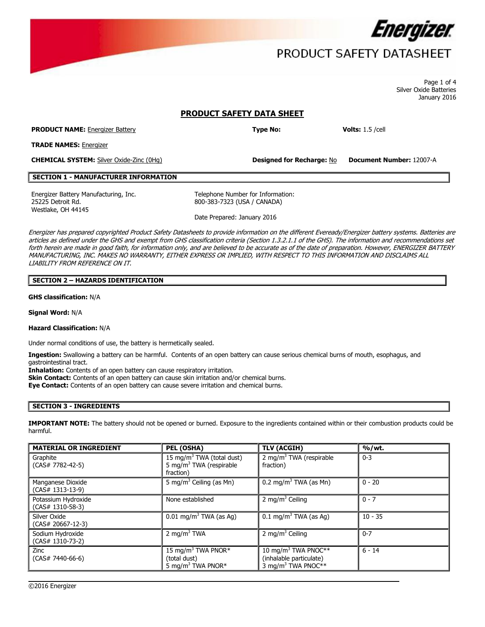

# PRODUCT SAFETY DATASHEET

 Page 1 of 4 Silver Oxide Batteries January 2016

# **PRODUCT SAFETY DATA SHEET**

**PRODUCT NAME:** Energizer Battery **Type No: Volts:** 1.5 /cell

**TRADE NAMES:** Energizer

**CHEMICAL SYSTEM:** Silver Oxide-Zinc (0Hg) **Designed for Recharge:** No **Document Number:** 12007-A

**Designed for Recharge: No** 

# **SECTION 1 - MANUFACTURER INFORMATION**

Energizer Battery Manufacturing, Inc. Telephone Number for Information: 25225 Detroit Rd. 800-383-7323 (USA / CANADA) Westlake, OH 44145

Date Prepared: January 2016

 MANUFACTURING, INC. MAKES NO WARRANTY, EITHER EXPRESS OR IMPLIED, WITH RESPECT TO THIS INFORMATION AND DISCLAIMS ALL Energizer has prepared copyrighted Product Safety Datasheets to provide information on the different Eveready/Energizer battery systems. Batteries are articles as defined under the GHS and exempt from GHS classification criteria (Section 1.3.2.1.1 of the GHS). The information and recommendations set forth herein are made in good faith, for information only, and are believed to be accurate as of the date of preparation. However, ENERGIZER BATTERY LIABILITY FROM REFERENCE ON IT.

## **SECTION 2 – HAZARDS IDENTIFICATION**

**GHS classification:** N/A

**Signal Word:** N/A

### **Hazard Classification:** N/A

Under normal conditions of use, the battery is hermetically sealed.

**Ingestion:** Swallowing a battery can be harmful. Contents of an open battery can cause serious chemical burns of mouth, esophagus, and gastrointestinal tract.

**Inhalation:** Contents of an open battery can cause respiratory irritation.

**Skin Contact:** Contents of an open battery can cause skin irritation and/or chemical burns.

**Eye Contact:** Contents of an open battery can cause severe irritation and chemical burns.

# **SECTION 3 - INGREDIENTS**

**IMPORTANT NOTE:** The battery should not be opened or burned. Exposure to the ingredients contained within or their combustion products could be harmful.

| <b>MATERIAL OR INGREDIENT</b>             | PEL (OSHA)                                                                                | TLV (ACGIH)                                                                                  | %/wt.     |
|-------------------------------------------|-------------------------------------------------------------------------------------------|----------------------------------------------------------------------------------------------|-----------|
| Graphite<br>$(CAS# 7782-42-5)$            | 15 mg/m <sup>3</sup> TWA (total dust)<br>5 mg/m <sup>3</sup> TWA (respirable<br>fraction) | 2 mg/m <sup>3</sup> TWA (respirable<br>fraction)                                             | $0 - 3$   |
| Manganese Dioxide<br>$(CAS# 1313-13-9)$   | 5 mg/m <sup>3</sup> Ceiling (as Mn)                                                       | 0.2 mg/m <sup>3</sup> TWA (as Mn)                                                            | $0 - 20$  |
| Potassium Hydroxide<br>$(CAS# 1310-58-3)$ | None established                                                                          | 2 mg/m <sup>3</sup> Ceiling                                                                  | $0 - 7$   |
| Silver Oxide<br>$(CAS# 20667-12-3)$       | $0.01 \text{ mg/m}^3$ TWA (as Ag)                                                         | $0.1 \text{ mg/m}^3$ TWA (as Ag)                                                             | $10 - 35$ |
| Sodium Hydroxide<br>$(CAS# 1310-73-2)$    | 2 mg/m <sup>3</sup> TWA                                                                   | 2 mg/m <sup>3</sup> Ceiling                                                                  | $0 - 7$   |
| <b>Zinc</b><br>$(CAS# 7440-66-6)$         | 15 mg/m <sup>3</sup> TWA PNOR*<br>(total dust)<br>5 mg/m <sup>3</sup> TWA PNOR*           | 10 mg/m <sup>3</sup> TWA PNOC**<br>(inhalable particulate)<br>3 mg/m <sup>3</sup> TWA PNOC** | $6 - 14$  |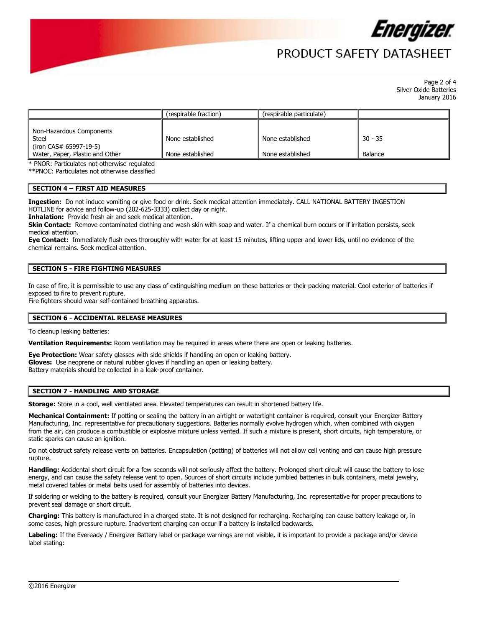

# PRODUCT SAFFTY DATASHFFT

 Page 2 of 4 Silver Oxide Batteries January 2016

|                                                           | (respirable fraction) | (respirable particulate) |           |
|-----------------------------------------------------------|-----------------------|--------------------------|-----------|
| Non-Hazardous Components                                  |                       |                          |           |
| <b>Steel</b>                                              | None established      | None established         | $30 - 35$ |
| (iron CAS# 65997-19-5)<br>Water, Paper, Plastic and Other | None established      | None established         | Balance   |

\* PNOR: Particulates not otherwise regulated

\*\*PNOC: Particulates not otherwise classified

## **SECTION 4 – FIRST AID MEASURES**

 **Ingestion:** Do not induce vomiting or give food or drink. Seek medical attention immediately. CALL NATIONAL BATTERY INGESTION HOTLINE for advice and follow-up (202-625-3333) collect day or night.

**Inhalation:** Provide fresh air and seek medical attention.

 **Skin Contact:** Remove contaminated clothing and wash skin with soap and water. If a chemical burn occurs or if irritation persists, seek medical attention.

**Eye Contact:** Immediately flush eyes thoroughly with water for at least 15 minutes, lifting upper and lower lids, until no evidence of the chemical remains. Seek medical attention.

## **SECTION 5 - FIRE FIGHTING MEASURES**

 In case of fire, it is permissible to use any class of extinguishing medium on these batteries or their packing material. Cool exterior of batteries if exposed to fire to prevent rupture.

Fire fighters should wear self-contained breathing apparatus.

#### **SECTION 6 - ACCIDENTAL RELEASE MEASURES**

To cleanup leaking batteries:

**Ventilation Requirements:** Room ventilation may be required in areas where there are open or leaking batteries.

 Battery materials should be collected in a leak-proof container. **Eye Protection:** Wear safety glasses with side shields if handling an open or leaking battery. **Gloves:** Use neoprene or natural rubber gloves if handling an open or leaking battery.

#### **SECTION 7 - HANDLING AND STORAGE**

**Storage:** Store in a cool, well ventilated area. Elevated temperatures can result in shortened battery life.

**Mechanical Containment:** If potting or sealing the battery in an airtight or watertight container is required, consult your Energizer Battery Manufacturing, Inc. representative for precautionary suggestions. Batteries normally evolve hydrogen which, when combined with oxygen from the air, can produce a combustible or explosive mixture unless vented. If such a mixture is present, short circuits, high temperature, or static sparks can cause an ignition.

Do not obstruct safety release vents on batteries. Encapsulation (potting) of batteries will not allow cell venting and can cause high pressure rupture.

**Handling:** Accidental short circuit for a few seconds will not seriously affect the battery. Prolonged short circuit will cause the battery to lose energy, and can cause the safety release vent to open. Sources of short circuits include jumbled batteries in bulk containers, metal jewelry, metal covered tables or metal belts used for assembly of batteries into devices.

If soldering or welding to the battery is required, consult your Energizer Battery Manufacturing, Inc. representative for proper precautions to prevent seal damage or short circuit.

 **Charging:** This battery is manufactured in a charged state. It is not designed for recharging. Recharging can cause battery leakage or, in some cases, high pressure rupture. Inadvertent charging can occur if a battery is installed backwards.

 **Labeling:** If the Eveready / Energizer Battery label or package warnings are not visible, it is important to provide a package and/or device label stating: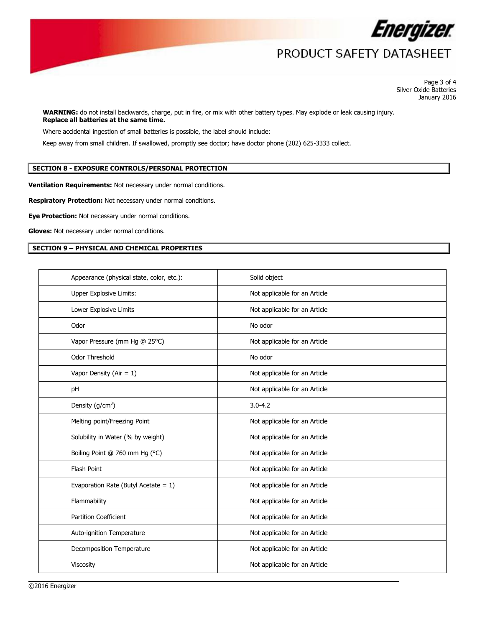

# PRODUCT SAFETY DATASHEET

 Page 3 of 4 Silver Oxide Batteries January 2016

 **Replace all batteries at the same time. WARNING:** do not install backwards, charge, put in fire, or mix with other battery types. May explode or leak causing injury.

Where accidental ingestion of small batteries is possible, the label should include:

Keep away from small children. If swallowed, promptly see doctor; have doctor phone (202) 625-3333 collect.

# **SECTION 8 - EXPOSURE CONTROLS/PERSONAL PROTECTION**

**Ventilation Requirements:** Not necessary under normal conditions.

**Respiratory Protection:** Not necessary under normal conditions.

**Eye Protection:** Not necessary under normal conditions.

**Gloves:** Not necessary under normal conditions.

# **SECTION 9 – PHYSICAL AND CHEMICAL PROPERTIES**

| Appearance (physical state, color, etc.): | Solid object                  |
|-------------------------------------------|-------------------------------|
| Upper Explosive Limits:                   | Not applicable for an Article |
| Lower Explosive Limits                    | Not applicable for an Article |
| Odor                                      | No odor                       |
| Vapor Pressure (mm Hg @ 25°C)             | Not applicable for an Article |
| Odor Threshold                            | No odor                       |
| Vapor Density (Air = $1$ )                | Not applicable for an Article |
| pH                                        | Not applicable for an Article |
| Density $(g/cm^3)$                        | $3.0 - 4.2$                   |
| Melting point/Freezing Point              | Not applicable for an Article |
| Solubility in Water (% by weight)         | Not applicable for an Article |
| Boiling Point @ 760 mm Hg (°C)            | Not applicable for an Article |
| Flash Point                               | Not applicable for an Article |
| Evaporation Rate (Butyl Acetate = $1$ )   | Not applicable for an Article |
| Flammability                              | Not applicable for an Article |
| <b>Partition Coefficient</b>              | Not applicable for an Article |
| Auto-ignition Temperature                 | Not applicable for an Article |
| Decomposition Temperature                 | Not applicable for an Article |
| Viscosity                                 | Not applicable for an Article |